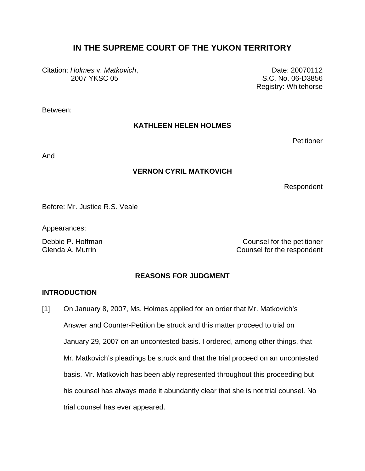# **IN THE SUPREME COURT OF THE YUKON TERRITORY**

Citation: *Holmes* v. *Matkovich*, 2007 YKSC 05

Date: 20070112 S.C. No. 06-D3856 Registry: Whitehorse

Between:

#### **KATHLEEN HELEN HOLMES**

**Petitioner** 

And

#### **VERNON CYRIL MATKOVICH**

Respondent

Before: Mr. Justice R.S. Veale

Appearances:

Debbie P. Hoffman Counsel for the petitioner Glenda A. Murrin **Counsel For the respondent** 

### **REASONS FOR JUDGMENT**

#### **INTRODUCTION**

[1] On January 8, 2007, Ms. Holmes applied for an order that Mr. Matkovich's Answer and Counter-Petition be struck and this matter proceed to trial on January 29, 2007 on an uncontested basis. I ordered, among other things, that Mr. Matkovich's pleadings be struck and that the trial proceed on an uncontested basis. Mr. Matkovich has been ably represented throughout this proceeding but his counsel has always made it abundantly clear that she is not trial counsel. No trial counsel has ever appeared.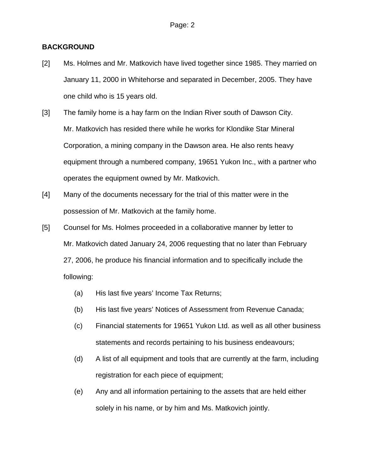#### **BACKGROUND**

- [2] Ms. Holmes and Mr. Matkovich have lived together since 1985. They married on January 11, 2000 in Whitehorse and separated in December, 2005. They have one child who is 15 years old.
- [3] The family home is a hay farm on the Indian River south of Dawson City. Mr. Matkovich has resided there while he works for Klondike Star Mineral Corporation, a mining company in the Dawson area. He also rents heavy equipment through a numbered company, 19651 Yukon Inc., with a partner who operates the equipment owned by Mr. Matkovich.
- [4] Many of the documents necessary for the trial of this matter were in the possession of Mr. Matkovich at the family home.
- [5] Counsel for Ms. Holmes proceeded in a collaborative manner by letter to Mr. Matkovich dated January 24, 2006 requesting that no later than February 27, 2006, he produce his financial information and to specifically include the following:
	- (a) His last five years' Income Tax Returns;
	- (b) His last five years' Notices of Assessment from Revenue Canada;
	- (c) Financial statements for 19651 Yukon Ltd. as well as all other business statements and records pertaining to his business endeavours;
	- (d) A list of all equipment and tools that are currently at the farm, including registration for each piece of equipment;
	- (e) Any and all information pertaining to the assets that are held either solely in his name, or by him and Ms. Matkovich jointly.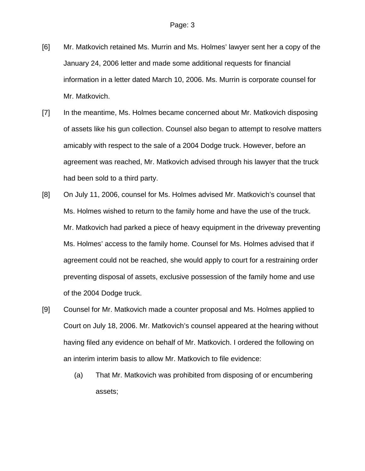- [6] Mr. Matkovich retained Ms. Murrin and Ms. Holmes' lawyer sent her a copy of the January 24, 2006 letter and made some additional requests for financial information in a letter dated March 10, 2006. Ms. Murrin is corporate counsel for Mr. Matkovich.
- [7] In the meantime, Ms. Holmes became concerned about Mr. Matkovich disposing of assets like his gun collection. Counsel also began to attempt to resolve matters amicably with respect to the sale of a 2004 Dodge truck. However, before an agreement was reached, Mr. Matkovich advised through his lawyer that the truck had been sold to a third party.
- [8] On July 11, 2006, counsel for Ms. Holmes advised Mr. Matkovich's counsel that Ms. Holmes wished to return to the family home and have the use of the truck. Mr. Matkovich had parked a piece of heavy equipment in the driveway preventing Ms. Holmes' access to the family home. Counsel for Ms. Holmes advised that if agreement could not be reached, she would apply to court for a restraining order preventing disposal of assets, exclusive possession of the family home and use of the 2004 Dodge truck.
- [9] Counsel for Mr. Matkovich made a counter proposal and Ms. Holmes applied to Court on July 18, 2006. Mr. Matkovich's counsel appeared at the hearing without having filed any evidence on behalf of Mr. Matkovich. I ordered the following on an interim interim basis to allow Mr. Matkovich to file evidence:
	- (a) That Mr. Matkovich was prohibited from disposing of or encumbering assets;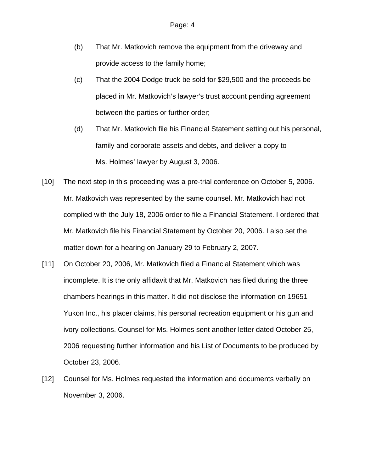- (b) That Mr. Matkovich remove the equipment from the driveway and provide access to the family home;
- (c) That the 2004 Dodge truck be sold for \$29,500 and the proceeds be placed in Mr. Matkovich's lawyer's trust account pending agreement between the parties or further order;
- (d) That Mr. Matkovich file his Financial Statement setting out his personal, family and corporate assets and debts, and deliver a copy to Ms. Holmes' lawyer by August 3, 2006.
- [10] The next step in this proceeding was a pre-trial conference on October 5, 2006. Mr. Matkovich was represented by the same counsel. Mr. Matkovich had not complied with the July 18, 2006 order to file a Financial Statement. I ordered that Mr. Matkovich file his Financial Statement by October 20, 2006. I also set the matter down for a hearing on January 29 to February 2, 2007.
- [11] On October 20, 2006, Mr. Matkovich filed a Financial Statement which was incomplete. It is the only affidavit that Mr. Matkovich has filed during the three chambers hearings in this matter. It did not disclose the information on 19651 Yukon Inc., his placer claims, his personal recreation equipment or his gun and ivory collections. Counsel for Ms. Holmes sent another letter dated October 25, 2006 requesting further information and his List of Documents to be produced by October 23, 2006.
- [12] Counsel for Ms. Holmes requested the information and documents verbally on November 3, 2006.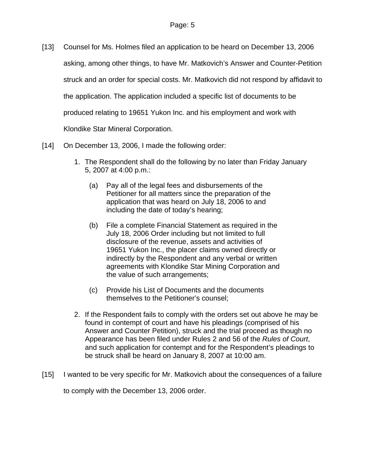- [13] Counsel for Ms. Holmes filed an application to be heard on December 13, 2006 asking, among other things, to have Mr. Matkovich's Answer and Counter-Petition struck and an order for special costs. Mr. Matkovich did not respond by affidavit to the application. The application included a specific list of documents to be produced relating to 19651 Yukon Inc. and his employment and work with Klondike Star Mineral Corporation.
- [14] On December 13, 2006, I made the following order:
	- 1. The Respondent shall do the following by no later than Friday January 5, 2007 at 4:00 p.m.:
		- (a) Pay all of the legal fees and disbursements of the Petitioner for all matters since the preparation of the application that was heard on July 18, 2006 to and including the date of today's hearing;
		- (b) File a complete Financial Statement as required in the July 18, 2006 Order including but not limited to full disclosure of the revenue, assets and activities of 19651 Yukon Inc., the placer claims owned directly or indirectly by the Respondent and any verbal or written agreements with Klondike Star Mining Corporation and the value of such arrangements;
		- (c) Provide his List of Documents and the documents themselves to the Petitioner's counsel;
	- 2. If the Respondent fails to comply with the orders set out above he may be found in contempt of court and have his pleadings (comprised of his Answer and Counter Petition), struck and the trial proceed as though no Appearance has been filed under Rules 2 and 56 of the *Rules of Court*, and such application for contempt and for the Respondent's pleadings to be struck shall be heard on January 8, 2007 at 10:00 am.
- [15] I wanted to be very specific for Mr. Matkovich about the consequences of a failure to comply with the December 13, 2006 order.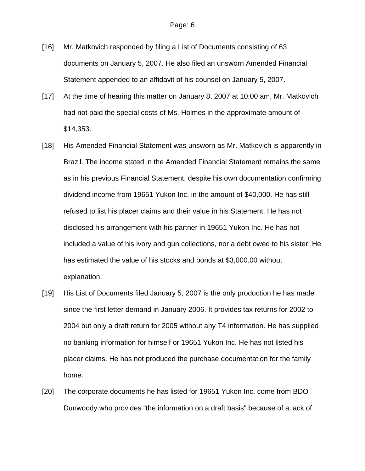- [16] Mr. Matkovich responded by filing a List of Documents consisting of 63 documents on January 5, 2007. He also filed an unsworn Amended Financial Statement appended to an affidavit of his counsel on January 5, 2007.
- [17] At the time of hearing this matter on January 8, 2007 at 10:00 am, Mr. Matkovich had not paid the special costs of Ms. Holmes in the approximate amount of \$14,353.
- [18] His Amended Financial Statement was unsworn as Mr. Matkovich is apparently in Brazil. The income stated in the Amended Financial Statement remains the same as in his previous Financial Statement, despite his own documentation confirming dividend income from 19651 Yukon Inc. in the amount of \$40,000. He has still refused to list his placer claims and their value in his Statement. He has not disclosed his arrangement with his partner in 19651 Yukon Inc. He has not included a value of his ivory and gun collections, nor a debt owed to his sister. He has estimated the value of his stocks and bonds at \$3,000.00 without explanation.
- [19] His List of Documents filed January 5, 2007 is the only production he has made since the first letter demand in January 2006. It provides tax returns for 2002 to 2004 but only a draft return for 2005 without any T4 information. He has supplied no banking information for himself or 19651 Yukon Inc. He has not listed his placer claims. He has not produced the purchase documentation for the family home.
- [20] The corporate documents he has listed for 19651 Yukon Inc. come from BDO Dunwoody who provides "the information on a draft basis" because of a lack of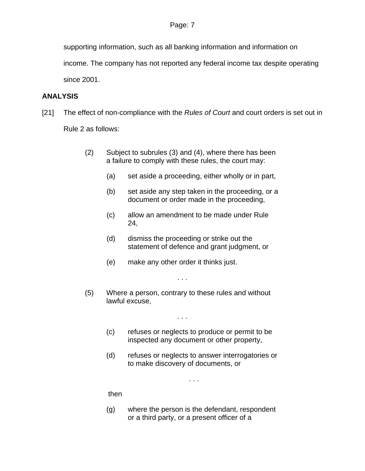supporting information, such as all banking information and information on

income. The company has not reported any federal income tax despite operating since 2001.

## **ANALYSIS**

[21] The effect of non-compliance with the *Rules of Court* and court orders is set out in

Rule 2 as follows:

- (2) Subject to subrules (3) and (4), where there has been a failure to comply with these rules, the court may:
	- (a) set aside a proceeding, either wholly or in part,
	- (b) set aside any step taken in the proceeding, or a document or order made in the proceeding,
	- (c) allow an amendment to be made under Rule 24,
	- (d) dismiss the proceeding or strike out the statement of defence and grant judgment, or
	- (e) make any other order it thinks just.
- (5) Where a person, contrary to these rules and without lawful excuse,

. . .

. . .

- (c) refuses or neglects to produce or permit to be inspected any document or other property,
- (d) refuses or neglects to answer interrogatories or to make discovery of documents, or

. . .

then

(g) where the person is the defendant, respondent or a third party, or a present officer of a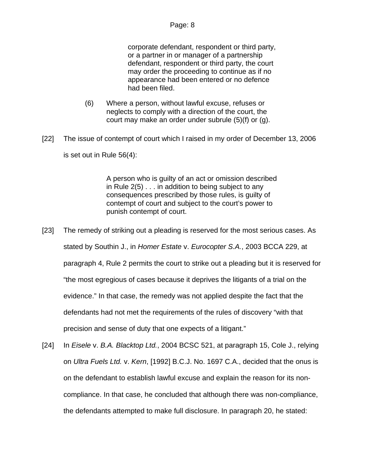corporate defendant, respondent or third party, or a partner in or manager of a partnership defendant, respondent or third party, the court may order the proceeding to continue as if no appearance had been entered or no defence had been filed.

- (6) Where a person, without lawful excuse, refuses or neglects to comply with a direction of the court, the court may make an order under subrule (5)(f) or (g).
- [22] The issue of contempt of court which I raised in my order of December 13, 2006 is set out in Rule 56(4):

 A person who is guilty of an act or omission described in Rule 2(5) . . . in addition to being subject to any consequences prescribed by those rules, is guilty of contempt of court and subject to the court's power to punish contempt of court.

- [23] The remedy of striking out a pleading is reserved for the most serious cases. As stated by Southin J., in *Homer Estate* v. *Eurocopter S.A.*, 2003 BCCA 229, at paragraph 4, Rule 2 permits the court to strike out a pleading but it is reserved for "the most egregious of cases because it deprives the litigants of a trial on the evidence." In that case, the remedy was not applied despite the fact that the defendants had not met the requirements of the rules of discovery "with that precision and sense of duty that one expects of a litigant."
- [24] In *Eisele* v. *B.A. Blacktop Ltd.*, 2004 BCSC 521, at paragraph 15, Cole J., relying on *Ultra Fuels Ltd.* v. *Kern*, [1992] B.C.J. No. 1697 C.A., decided that the onus is on the defendant to establish lawful excuse and explain the reason for its noncompliance. In that case, he concluded that although there was non-compliance, the defendants attempted to make full disclosure. In paragraph 20, he stated: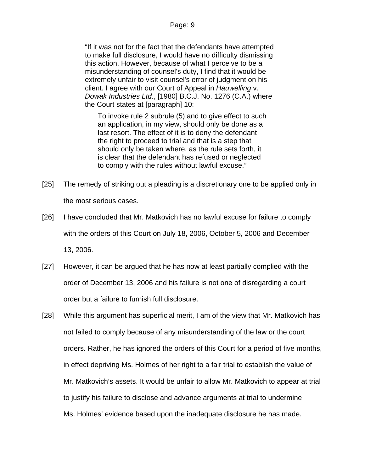"If it was not for the fact that the defendants have attempted to make full disclosure, I would have no difficulty dismissing this action. However, because of what I perceive to be a misunderstanding of counsel's duty, I find that it would be extremely unfair to visit counsel's error of judgment on his client. I agree with our Court of Appeal in *Hauwelling* v. *Dowak Industries Ltd.*, [1980] B.C.J. No. 1276 (C.A.) where the Court states at [paragraph] 10:

To invoke rule 2 subrule (5) and to give effect to such an application, in my view, should only be done as a last resort. The effect of it is to deny the defendant the right to proceed to trial and that is a step that should only be taken where, as the rule sets forth, it is clear that the defendant has refused or neglected to comply with the rules without lawful excuse."

- [25] The remedy of striking out a pleading is a discretionary one to be applied only in the most serious cases.
- [26] I have concluded that Mr. Matkovich has no lawful excuse for failure to comply with the orders of this Court on July 18, 2006, October 5, 2006 and December 13, 2006.
- [27] However, it can be argued that he has now at least partially complied with the order of December 13, 2006 and his failure is not one of disregarding a court order but a failure to furnish full disclosure.
- [28] While this argument has superficial merit, I am of the view that Mr. Matkovich has not failed to comply because of any misunderstanding of the law or the court orders. Rather, he has ignored the orders of this Court for a period of five months, in effect depriving Ms. Holmes of her right to a fair trial to establish the value of Mr. Matkovich's assets. It would be unfair to allow Mr. Matkovich to appear at trial to justify his failure to disclose and advance arguments at trial to undermine Ms. Holmes' evidence based upon the inadequate disclosure he has made.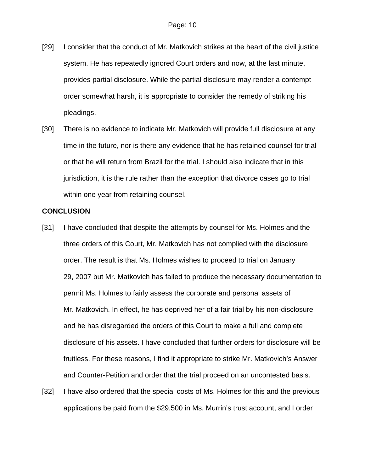- [29] I consider that the conduct of Mr. Matkovich strikes at the heart of the civil justice system. He has repeatedly ignored Court orders and now, at the last minute, provides partial disclosure. While the partial disclosure may render a contempt order somewhat harsh, it is appropriate to consider the remedy of striking his pleadings.
- [30] There is no evidence to indicate Mr. Matkovich will provide full disclosure at any time in the future, nor is there any evidence that he has retained counsel for trial or that he will return from Brazil for the trial. I should also indicate that in this jurisdiction, it is the rule rather than the exception that divorce cases go to trial within one year from retaining counsel.

#### **CONCLUSION**

- [31] I have concluded that despite the attempts by counsel for Ms. Holmes and the three orders of this Court, Mr. Matkovich has not complied with the disclosure order. The result is that Ms. Holmes wishes to proceed to trial on January 29, 2007 but Mr. Matkovich has failed to produce the necessary documentation to permit Ms. Holmes to fairly assess the corporate and personal assets of Mr. Matkovich. In effect, he has deprived her of a fair trial by his non-disclosure and he has disregarded the orders of this Court to make a full and complete disclosure of his assets. I have concluded that further orders for disclosure will be fruitless. For these reasons, I find it appropriate to strike Mr. Matkovich's Answer and Counter-Petition and order that the trial proceed on an uncontested basis.
- [32] I have also ordered that the special costs of Ms. Holmes for this and the previous applications be paid from the \$29,500 in Ms. Murrin's trust account, and I order